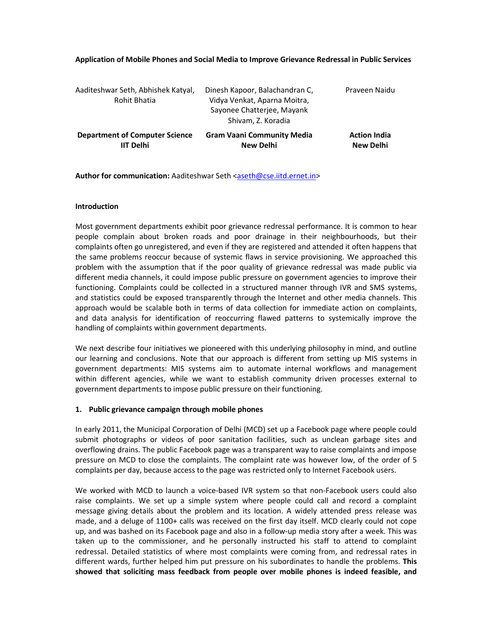## **Application of Mobile Phones and Social Media to Improve Grievance Redressal in Public Services**

Author for communication: Aaditeshwar Seth <aseth@cse.iitd.ernet.in>

## **Introduction**

Most government departments exhibit poor grievance redressal performance. It is common to hear people complain about broken roads and poor drainage in their neighbourhoods, but their complaints often go unregistered, and even if they are registered and attended it often happens that the same problems reoccur because of systemic flaws in service provisioning. We approached this problem with the assumption that if the poor quality of grievance redressal was made public via different media channels, it could impose public pressure on government agencies to improve their functioning. Complaints could be collected in a structured manner through IVR and SMS systems, and statistics could be exposed transparently through the Internet and other media channels. This approach would be scalable both in terms of data collection for immediate action on complaints, and data analysis for identification of reoccurring flawed patterns to systemically improve the handling of complaints within government departments.

We next describe four initiatives we pioneered with this underlying philosophy in mind, and outline our learning and conclusions. Note that our approach is different from setting up MIS systems in government departments: MIS systems aim to automate internal workflows and management within different agencies, while we want to establish community driven processes external to government departments to impose public pressure on their functioning.

# **1. Public grievance campaign through mobile phones**

In early 2011, the Municipal Corporation of Delhi (MCD) set up a Facebook page where people could submit photographs or videos of poor sanitation facilities, such as unclean garbage sites and overflowing drains. The public Facebook page was a transparent way to raise complaints and impose pressure on MCD to close the complaints. The complaint rate was however low, of the order of 5 complaints per day, because access to the page was restricted only to Internet Facebook users.

We worked with MCD to launch a voice-based IVR system so that non-Facebook users could also raise complaints. We set up a simple system where people could call and record a complaint message giving details about the problem and its location. A widely attended press release was made, and a deluge of 1100+ calls was received on the first day itself. MCD clearly could not cope up, and was bashed on its Facebook page and also in a follow-up media story after a week. This was taken up to the commissioner, and he personally instructed his staff to attend to complaint redressal. Detailed statistics of where most complaints were coming from, and redressal rates in different wards, further helped him put pressure on his subordinates to handle the problems. **This showed that soliciting mass feedback from people over mobile phones is indeed feasible, and**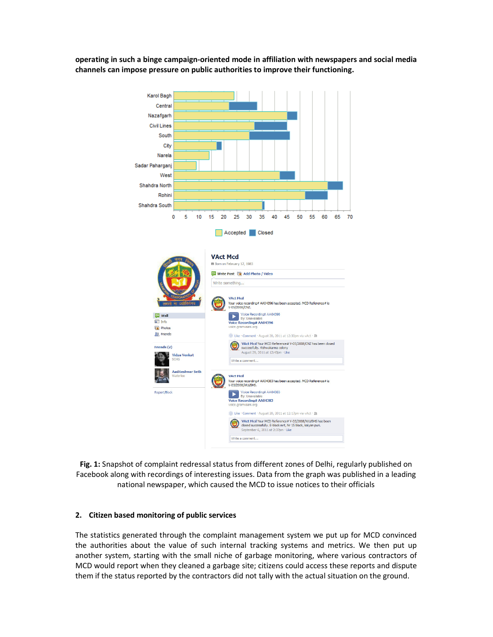**operating in such a binge campaign-oriented mode in affiliation with newspapers and social media channels can impose pressure on public authorities to improve their functioning.** 



**Fig. 1:** Snapshot of complaint redressal status from different zones of Delhi, regularly published on Facebook along with recordings of interesting issues. Data from the graph was published in a leading national newspaper, which caused the MCD to issue notices to their officials

# **2. Citizen based monitoring of public services**

The statistics generated through the complaint management system we put up for MCD convinced the authorities about the value of such internal tracking systems and metrics. We then put up another system, starting with the small niche of garbage monitoring, where various contractors of MCD would report when they cleaned a garbage site; citizens could access these reports and dispute them if the status reported by the contractors did not tally with the actual situation on the ground.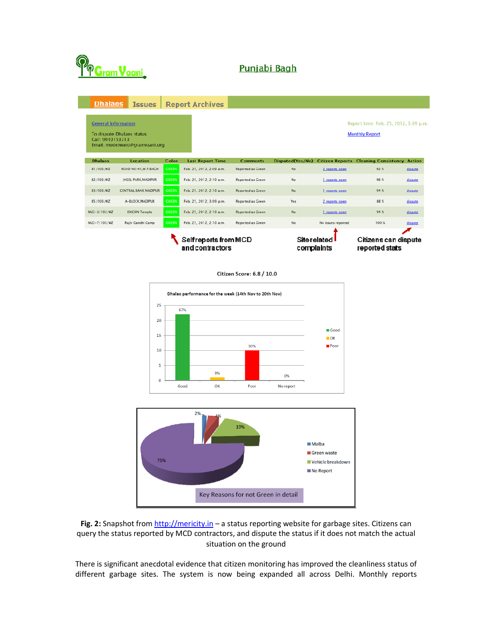

# Punjabi Bagh

| <b>Dhalaos</b>                                                                                                                                                                   | Issues                      |                                         | <b>Report Archives</b>   |                          |                                   |                    |                                                    |          |
|----------------------------------------------------------------------------------------------------------------------------------------------------------------------------------|-----------------------------|-----------------------------------------|--------------------------|--------------------------|-----------------------------------|--------------------|----------------------------------------------------|----------|
| <b>General Information</b><br>Report time: Feb. 25, 2012, 3:09 p.m.<br><b>Monthly Report</b><br>To dispute Dhalaos status:<br>Call: 9910153713<br>Email: modelward@gramvaani.org |                             |                                         |                          |                          |                                   |                    |                                                    |          |
| Dhalans                                                                                                                                                                          | Location                    | Color                                   | <b>Last Report Time</b>  | Comments                 | Disputed(Yes/No)                  |                    | <b>Citizen Reports Cleaning Consistency Action</b> |          |
| 81/103/WZ                                                                                                                                                                        | ROAD NO:41, W.P. BAGH       | GREEN                                   | Feb. 25, 2012, 2:09 a.m. | <b>Reported as Green</b> | No.                               | 2 reports open     | 92%                                                | dispute. |
| 82/103/WZ                                                                                                                                                                        | <b>IHEEL PARK MADIPUR</b>   | GREEN                                   | Feb. 25, 2012, 2:10 a.m. | <b>Reported as Green</b> | No.                               | 1 reports open     | 96%                                                | dispute. |
| 83/103/WZ                                                                                                                                                                        | <b>CENTRAL BANK MADIPUR</b> | GREEN                                   | Feb. 25, 2012, 2:10 a.m. | <b>Reported as Green</b> | No.                               | 1 reports open     | 94%                                                | dispute  |
| 85/103/WZ                                                                                                                                                                        | A-BLOCK, MADIPUR            | <b>GREEN</b>                            | Feb. 25, 2012, 3:09 p.m. | <b>Reported as Green</b> | Yes                               | 2 reports open     | 88 %                                               | dispute. |
| NUC-3/103/WZ                                                                                                                                                                     | <b>ISKCON Temple</b>        | GREEN                                   | Feb. 25, 2012, 2:10 a.m. | <b>Reported as Green</b> | No.                               | 1 reports open     | 94 %                                               | dis pute |
| NUC-7/103/WZ                                                                                                                                                                     | Rajiv Candhi Camp           | GREEN                                   | Feb. 25, 2012, 2:10 a.m. | <b>Reported as Green</b> | No.                               | No issues reported | 100 %                                              | dispute  |
|                                                                                                                                                                                  |                             | Selfreports from MCD<br>and contractors |                          |                          | <b>Site related</b><br>complaints |                    | Citizens can dispute<br>reported stats             |          |

Citizen Score: 6.8 / 10.0





**Fig. 2:** Snapshot from http://mericity.in – a status reporting website for garbage sites. Citizens can query the status reported by MCD contractors, and dispute the status if it does not match the actual situation on the ground

There is significant anecdotal evidence that citizen monitoring has improved the cleanliness status of different garbage sites. The system is now being expanded all across Delhi. Monthly reports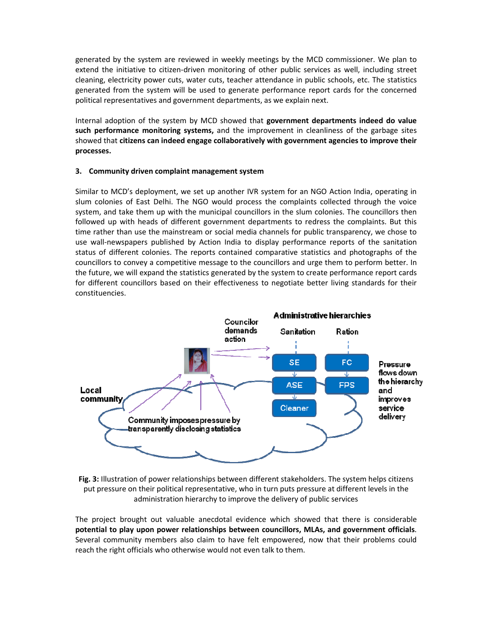generated by the system are reviewed in weekly meetings by the MCD commissioner. We plan to extend the initiative to citizen-driven monitoring of other public services as well, including street cleaning, electricity power cuts, water cuts, teacher attendance in public schools, etc. The statistics generated from the system will be used to generate performance report cards for the concerned political representatives and government departments, as we explain next.

Internal adoption of the system by MCD showed that **government departments indeed do value such performance monitoring systems,** and the improvement in cleanliness of the garbage sites showed that **citizens can indeed engage collaboratively with government agencies to improve their processes.**

# **3. Community driven complaint management system**

Similar to MCD's deployment, we set up another IVR system for an NGO Action India, operating in slum colonies of East Delhi. The NGO would process the complaints collected through the voice system, and take them up with the municipal councillors in the slum colonies. The councillors then followed up with heads of different government departments to redress the complaints. But this time rather than use the mainstream or social media channels for public transparency, we chose to use wall-newspapers published by Action India to display performance reports of the sanitation status of different colonies. The reports contained comparative statistics and photographs of the councillors to convey a competitive message to the councillors and urge them to perform better. In the future, we will expand the statistics generated by the system to create performance report cards for different councillors based on their effectiveness to negotiate better living standards for their constituencies.



**Fig. 3:** Illustration of power relationships between different stakeholders. The system helps citizens put pressure on their political representative, who in turn puts pressure at different levels in the administration hierarchy to improve the delivery of public services

The project brought out valuable anecdotal evidence which showed that there is considerable **potential to play upon power relationships between councillors, MLAs, and government officials**. Several community members also claim to have felt empowered, now that their problems could reach the right officials who otherwise would not even talk to them.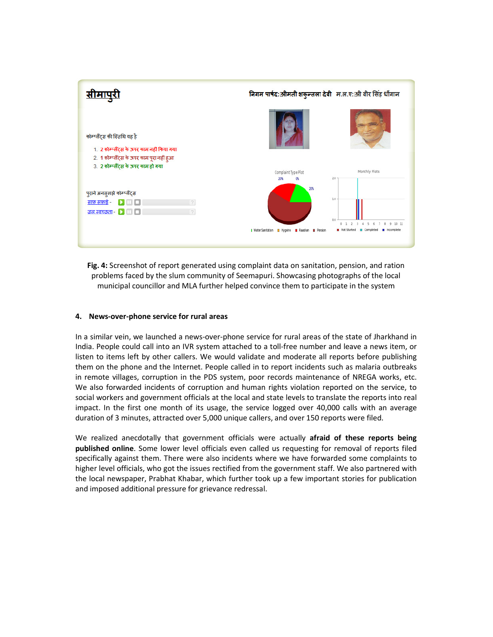| <u>सीमापुरी</u>                                                                                                                                                | निगम पार्षद: श्रीमती शकुन्तला देवी म.ल.ए: श्री वीर सिंह धींगान |                                                                                                                                           |  |  |  |
|----------------------------------------------------------------------------------------------------------------------------------------------------------------|----------------------------------------------------------------|-------------------------------------------------------------------------------------------------------------------------------------------|--|--|--|
| कोम्प्लैंटस की स्तिथि यह है<br>1. 2 कोम्प्लैंट्स के ऊपर काम नहीं किया गया<br>2. 1 कोम्प्लैंट्स के ऊपर काम पूरा नहीं हुआ<br>3. 2 कोम्प्लैंट्स के ऊपर काम हो गया |                                                                |                                                                                                                                           |  |  |  |
|                                                                                                                                                                | Complaint Type Plot<br>20%<br>0%                               | Monthly Plots<br>2.0                                                                                                                      |  |  |  |
| पुराने अनसुलझे कोम्प्लैंट्स<br>साफ़ सफ़ाई -              <br><u>जल स्वच्छता - [ ]</u><br>$\overline{2}$                                                        | 20%<br>I Water Sanitation III Hygeine III Raashan III Pension  | 1.0<br>0.0<br>$\mathcal{R}$<br>$\overline{2}$<br>$\mathcal{L}$<br>5 6 7 8 9 10 11<br>$\mathbf{1}$<br>Not Started E Completed E Incomplete |  |  |  |

**Fig. 4:** Screenshot of report generated using complaint data on sanitation, pension, and ration problems faced by the slum community of Seemapuri. Showcasing photographs of the local municipal councillor and MLA further helped convince them to participate in the system

## **4. News-over-phone service for rural areas**

In a similar vein, we launched a news-over-phone service for rural areas of the state of Jharkhand in India. People could call into an IVR system attached to a toll-free number and leave a news item, or listen to items left by other callers. We would validate and moderate all reports before publishing them on the phone and the Internet. People called in to report incidents such as malaria outbreaks in remote villages, corruption in the PDS system, poor records maintenance of NREGA works, etc. We also forwarded incidents of corruption and human rights violation reported on the service, to social workers and government officials at the local and state levels to translate the reports into real impact. In the first one month of its usage, the service logged over 40,000 calls with an average duration of 3 minutes, attracted over 5,000 unique callers, and over 150 reports were filed.

We realized anecdotally that government officials were actually **afraid of these reports being published online**. Some lower level officials even called us requesting for removal of reports filed specifically against them. There were also incidents where we have forwarded some complaints to higher level officials, who got the issues rectified from the government staff. We also partnered with the local newspaper, Prabhat Khabar, which further took up a few important stories for publication and imposed additional pressure for grievance redressal.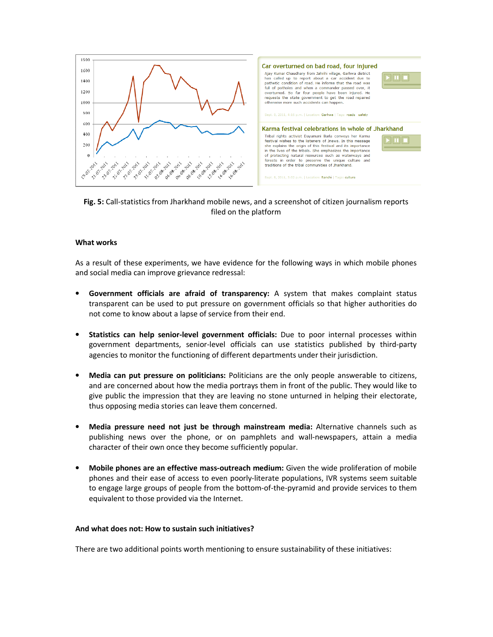



## **What works**

As a result of these experiments, we have evidence for the following ways in which mobile phones and social media can improve grievance redressal:

- **Government officials are afraid of transparency:** A system that makes complaint status transparent can be used to put pressure on government officials so that higher authorities do not come to know about a lapse of service from their end.
- **Statistics can help senior-level government officials:** Due to poor internal processes within government departments, senior-level officials can use statistics published by third-party agencies to monitor the functioning of different departments under their jurisdiction.
- **Media can put pressure on politicians:** Politicians are the only people answerable to citizens, and are concerned about how the media portrays them in front of the public. They would like to give public the impression that they are leaving no stone unturned in helping their electorate, thus opposing media stories can leave them concerned.
- **Media pressure need not just be through mainstream media:** Alternative channels such as publishing news over the phone, or on pamphlets and wall-newspapers, attain a media character of their own once they become sufficiently popular.
- **Mobile phones are an effective mass-outreach medium:** Given the wide proliferation of mobile phones and their ease of access to even poorly-literate populations, IVR systems seem suitable to engage large groups of people from the bottom-of-the-pyramid and provide services to them equivalent to those provided via the Internet.

## **And what does not: How to sustain such initiatives?**

There are two additional points worth mentioning to ensure sustainability of these initiatives: